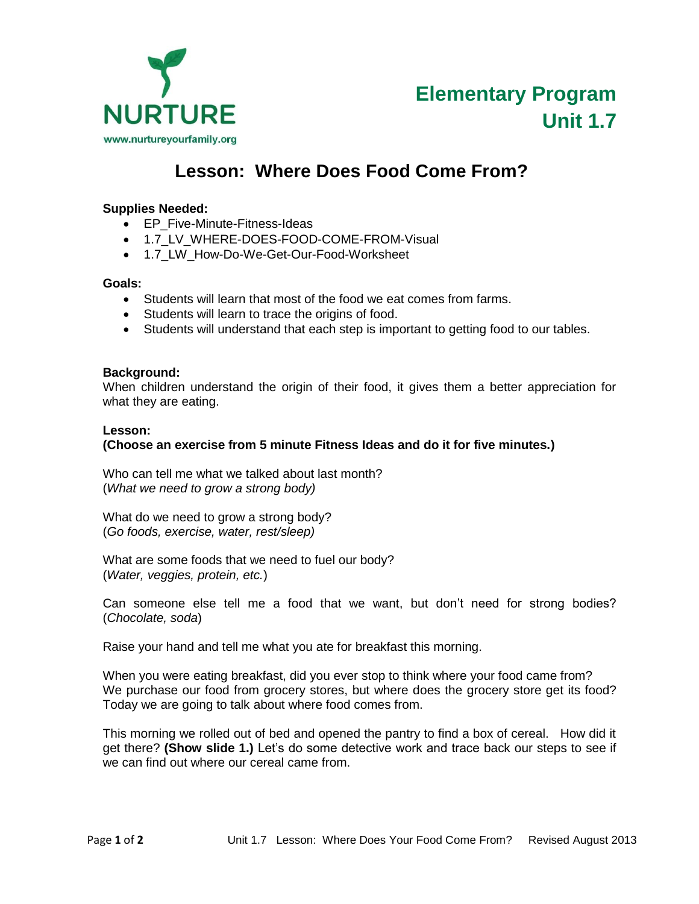

# **Lesson: Where Does Food Come From?**

# **Supplies Needed:**

- EP Five-Minute-Fitness-Ideas
- 1.7\_LV\_WHERE-DOES-FOOD-COME-FROM-Visual
- 1.7 LW How-Do-We-Get-Our-Food-Worksheet

#### **Goals:**

- Students will learn that most of the food we eat comes from farms.
- Students will learn to trace the origins of food.
- Students will understand that each step is important to getting food to our tables.

## **Background:**

When children understand the origin of their food, it gives them a better appreciation for what they are eating.

#### **Lesson:**

## **(Choose an exercise from 5 minute Fitness Ideas and do it for five minutes.)**

Who can tell me what we talked about last month? (*What we need to grow a strong body)*

What do we need to grow a strong body? (*Go foods, exercise, water, rest/sleep)*

What are some foods that we need to fuel our body? (*Water, veggies, protein, etc.*)

Can someone else tell me a food that we want, but don't need for strong bodies? (*Chocolate, soda*)

Raise your hand and tell me what you ate for breakfast this morning.

When you were eating breakfast, did you ever stop to think where your food came from? We purchase our food from grocery stores, but where does the grocery store get its food? Today we are going to talk about where food comes from.

This morning we rolled out of bed and opened the pantry to find a box of cereal. How did it get there? **(Show slide 1.)** Let's do some detective work and trace back our steps to see if we can find out where our cereal came from.